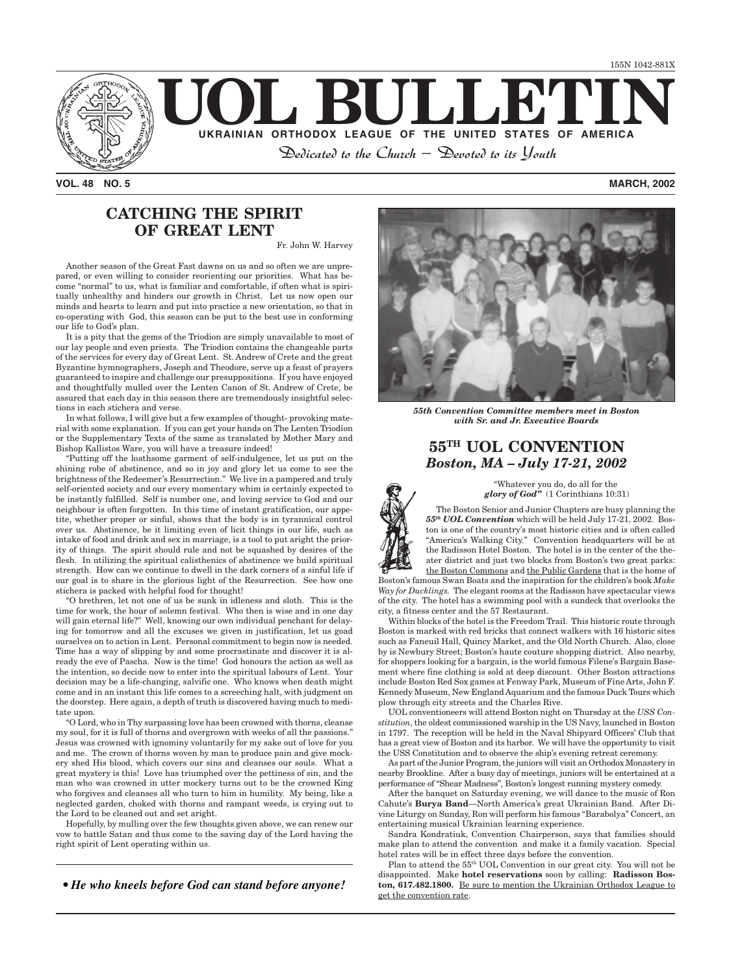

*VOL. 48 NO. 5 MARCH, 2002*

# **CATCHING THE SPIRIT OF GREAT LENT**

Fr. John W. Harvey

Another season of the Great Fast dawns on us and so often we are unprepared, or even willing to consider reorienting our priorities. What has become "normal" to us, what is familiar and comfortable, if often what is spiritually unhealthy and hinders our growth in Christ. Let us now open our minds and hearts to learn and put into practice a new orientation, so that in co-operating with God, this season can be put to the best use in conforming our life to God's plan.

It is a pity that the gems of the Triodion are simply unavailable to most of our lay people and even priests. The Triodion contains the changeable parts of the services for every day of Great Lent. St. Andrew of Crete and the great Byzantine hymnographers, Joseph and Theodore, serve up a feast of prayers guaranteed to inspire and challenge our presuppositions. If you have enjoyed and thoughtfully mulled over the Lenten Canon of St. Andrew of Crete, be assured that each day in this season there are tremendously insightful selections in each stichera and verse.

In what follows, I will give but a few examples of thought- provoking material with some explanation. If you can get your hands on The Lenten Triodion or the Supplementary Texts of the same as translated by Mother Mary and Bishop Kallistos Ware, you will have a treasure indeed!

"Putting off the loathsome garment of self-indulgence, let us put on the shining robe of abstinence, and so in joy and glory let us come to see the brightness of the Redeemer's Resurrection." We live in a pampered and truly self-oriented society and our every momentary whim is certainly expected to be instantly fulfilled. Self is number one, and loving service to God and our neighbour is often forgotten. In this time of instant gratification, our appetite, whether proper or sinful, shows that the body is in tyrannical control over us. Abstinence, be it limiting even of licit things in our life, such as intake of food and drink and sex in marriage, is a tool to put aright the priority of things. The spirit should rule and not be squashed by desires of the flesh. In utilizing the spiritual calisthenics of abstinence we build spiritual strength. How can we continue to dwell in the dark corners of a sinful life if our goal is to share in the glorious light of the Resurrection. See how one stichera is packed with helpful food for thought!

"O brethren, let not one of us be sunk in idleness and sloth. This is the time for work, the hour of solemn festival. Who then is wise and in one day will gain eternal life?" Well, knowing our own individual penchant for delaying for tomorrow and all the excuses we given in justification, let us goad ourselves on to action in Lent. Personal commitment to begin now is needed. Time has a way of slipping by and some procrastinate and discover it is already the eve of Pascha. Now is the time! God honours the action as well as the intention, so decide now to enter into the spiritual labours of Lent. Your decision may be a life-changing, salvific one. Who knows when death might come and in an instant this life comes to a screeching halt, with judgment on the doorstep. Here again, a depth of truth is discovered having much to meditate upon.

"O Lord, who in Thy surpassing love has been crowned with thorns, cleanse my soul, for it is full of thorns and overgrown with weeks of all the passions." Jesus was crowned with ignominy voluntarily for my sake out of love for you and me. The crown of thorns woven by man to produce pain and give mockery shed His blood, which covers our sins and cleanses our souls. What a great mystery is this! Love has triumphed over the pettiness of sin, and the man who was crowned in utter mockery turns out to be the crowned King who forgives and cleanses all who turn to him in humility. My being, like a neglected garden, choked with thorns and rampant weeds, is crying out to the Lord to be cleaned out and set aright.

Hopefully, by mulling over the few thoughts given above, we can renew our vow to battle Satan and thus come to the saving day of the Lord having the right spirit of Lent operating within us.

*• He who kneels before God can stand before anyone!*



*55th Convention Committee members meet in Boston with Sr. and Jr. Executive Boards*

# **55TH UOL CONVENTION** *Boston, MA – July 17-21, 2002*

"Whatever you do, do all for the  *glory of God"* (1 Corinthians 10:31)

The Boston Senior and Junior Chapters are busy planning the *55th UOL Convention* which will be held July 17-21, 2002. Boston is one of the country's most historic cities and is often called "America's Walking City." Convention headquarters will be at the Radisson Hotel Boston. The hotel is in the center of the theater district and just two blocks from Boston's two great parks: the Boston Commons and the Public Gardens that is the home of

Boston's famous Swan Boats and the inspiration for the children's book *Make Way for Ducklings.* The elegant rooms at the Radisson have spectacular views of the city. The hotel has a swimming pool with a sundeck that overlooks the city, a fitness center and the 57 Restaurant.

Within blocks of the hotel is the Freedom Trail. This historic route through Boston is marked with red bricks that connect walkers with 16 historic sites such as Faneuil Hall, Quincy Market, and the Old North Church. Also, close by is Newbury Street; Boston's haute couture shopping district. Also nearby, for shoppers looking for a bargain, is the world famous Filene's Bargain Basement where fine clothing is sold at deep discount. Other Boston attractions include Boston Red Sox games at Fenway Park, Museum of Fine Arts, John F. Kennedy Museum, New England Aquarium and the famous Duck Tours which plow through city streets and the Charles Rive.

UOL conventioneers will attend Boston night on Thursday at the *USS Constitution*, the oldest commissioned warship in the US Navy, launched in Boston in 1797. The reception will be held in the Naval Shipyard Officers' Club that has a great view of Boston and its harbor. We will have the opportunity to visit the USS Constitution and to observe the ship's evening retreat ceremony.

As part of the Junior Program, the juniors will visit an Orthodox Monastery in nearby Brookline. After a busy day of meetings, juniors will be entertained at a performance of "Shear Madness", Boston's longest running mystery comedy.

After the banquet on Saturday evening, we will dance to the music of Ron Cahute's **Burya Band**—North America's great Ukrainian Band. After Divine Liturgy on Sunday, Ron will perform his famous "Barabolya" Concert, an entertaining musical Ukrainian learning experience.

Sandra Kondratiuk, Convention Chairperson, says that families should make plan to attend the convention and make it a family vacation. Special hotel rates will be in effect three days before the convention.

Plan to attend the 55th UOL Convention in our great city. You will not be disappointed. Make **hotel reservations** soon by calling: **Radisson Boston, 617.482.1800.** Be sure to mention the Ukrainian Orthodox League to get the convention rate.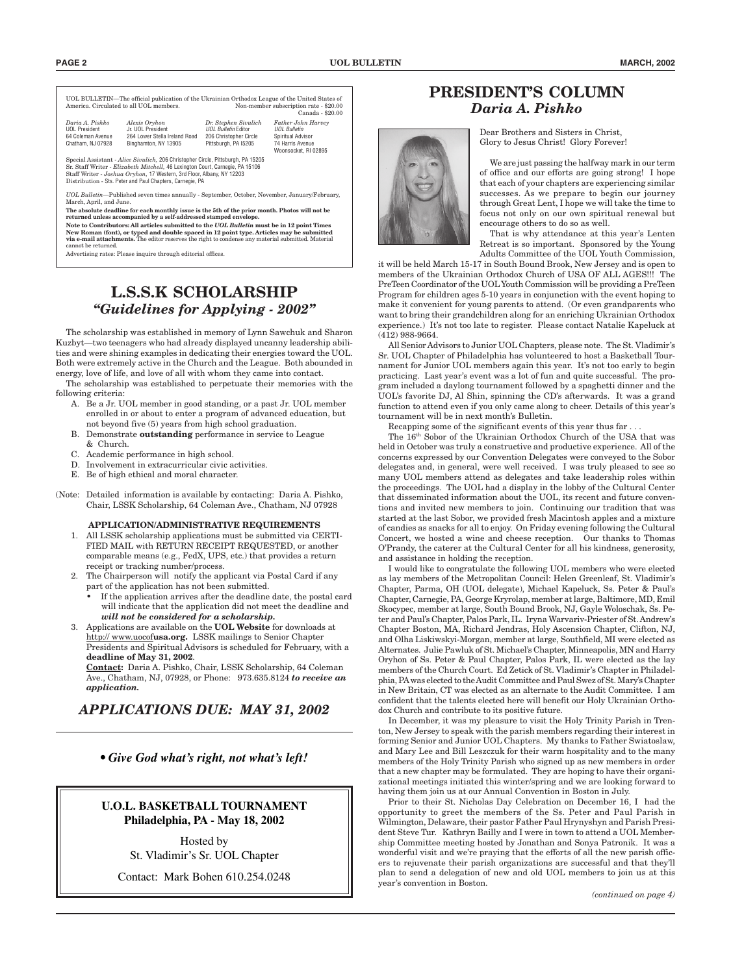UOL BULLETIN—The official publication of the Ukrainian Orthodox League of the United States of Non-member subscription rate - \$20.00 Canada - \$20.00

| Daria A. Pishko<br>UOL President<br>64 Coleman Avenue<br>Chatham, NJ 07928 | Alexis Oryhon<br>Jr. UOL President<br>264 Lower Stella Ireland Road<br>Binghamton, NY 13905 | Dr. Stephen Sivulich<br>UOL Bulletin Editor<br>206 Christopher Circle<br>Pittsburgh, PA I5205 | Father John Harvey<br>UOL Bulletin<br>Spiritual Advisor<br>74 Harris Avenue<br>Woonsocket, RI 02895 |
|----------------------------------------------------------------------------|---------------------------------------------------------------------------------------------|-----------------------------------------------------------------------------------------------|-----------------------------------------------------------------------------------------------------|
|----------------------------------------------------------------------------|---------------------------------------------------------------------------------------------|-----------------------------------------------------------------------------------------------|-----------------------------------------------------------------------------------------------------|

Special Assistant - *Alice Sivulich,* 206 Christopher Circle, Pittsburgh, PA 15205 Sr. Staff Writer - *Elizabeth Mitchell,* 46 Lexington Court, Carnegie, PA 15106 Staff Writer - *Joshua Oryhon,* 17 Western, 3rd Floor, Albany, NY 12203 Distribution - Sts. Peter and Paul Chapters, Carnegie, PA

*UOL Bulletin*—Published seven times annually - September, October, November, January/February, March, April, and June.

**The absolute deadline for each monthly issue is the 5th of the prior month. Photos will not be returned unless accompanied by a self-addressed stamped envelope.**

**Note to Contributors: All articles submitted to the** *UOL Bulletin* **must be in 12 point Times New Roman (font), or typed and double spaced in 12 point type. Articles may be submitted via e-mail attachments.** The editor reserves the right to condense any material submitted. Material cannot be returned.

Advertising rates: Please inquire through editorial offices.

## **L.S.S.K SCHOLARSHIP** *"Guidelines for Applying - 2002"*

The scholarship was established in memory of Lynn Sawchuk and Sharon Kuzbyt—two teenagers who had already displayed uncanny leadership abilities and were shining examples in dedicating their energies toward the UOL. Both were extremely active in the Church and the League. Both abounded in energy, love of life, and love of all with whom they came into contact.

The scholarship was established to perpetuate their memories with the following criteria:

- A. Be a Jr. UOL member in good standing, or a past Jr. UOL member enrolled in or about to enter a program of advanced education, but not beyond five (5) years from high school graduation.
- B. Demonstrate **outstanding** performance in service to League & Church.
- C. Academic performance in high school.
- D. Involvement in extracurricular civic activities.
- E. Be of high ethical and moral character.
- (Note: Detailed information is available by contacting: Daria A. Pishko, Chair, LSSK Scholarship, 64 Coleman Ave., Chatham, NJ 07928

#### **APPLICATION/ADMINISTRATIVE REQUIREMENTS**

- 1. All LSSK scholarship applications must be submitted via CERTI-FIED MAIL with RETURN RECEIPT REQUESTED, or another comparable means (e.g., FedX, UPS, etc.) that provides a return receipt or tracking number/process.
- 2. The Chairperson will notify the applicant via Postal Card if any part of the application has not been submitted.
	- If the application arrives after the deadline date, the postal card will indicate that the application did not meet the deadline and *will not be considered for a scholarship.*
- 3. Applications are available on the **UOL Website** for downloads at http:// www.uocof**usa.org.** LSSK mailings to Senior Chapter Presidents and Spiritual Advisors is scheduled for February, with a **deadline of May 31, 2002**.

**Contact:** Daria A. Pishko, Chair, LSSK Scholarship, 64 Coleman Ave., Chatham, NJ, 07928, or Phone: 973.635.8124 *to receive an application.*

*APPLICATIONS DUE: MAY 31, 2002*

*• Give God what's right, not what's left!*

### **U.O.L. BASKETBALL TOURNAMENT Philadelphia, PA - May 18, 2002**

Hosted by St. Vladimir's Sr. UOL Chapter

Contact: Mark Bohen 610.254.0248

## **PRESIDENT'S COLUMN** *Daria A. Pishko*



Dear Brothers and Sisters in Christ, Glory to Jesus Christ! Glory Forever!

We are just passing the halfway mark in our term of office and our efforts are going strong! I hope that each of your chapters are experiencing similar successes. As we prepare to begin our journey through Great Lent, I hope we will take the time to focus not only on our own spiritual renewal but encourage others to do so as well.

That is why attendance at this year's Lenten Retreat is so important. Sponsored by the Young Adults Committee of the UOL Youth Commission,

it will be held March 15-17 in South Bound Brook, New Jersey and is open to members of the Ukrainian Orthodox Church of USA OF ALL AGES!!! The PreTeen Coordinator of the UOL Youth Commission will be providing a PreTeen Program for children ages 5-10 years in conjunction with the event hoping to make it convenient for young parents to attend. (Or even grandparents who want to bring their grandchildren along for an enriching Ukrainian Orthodox experience.) It's not too late to register. Please contact Natalie Kapeluck at (412) 988-9664.

All Senior Advisors to Junior UOL Chapters, please note. The St. Vladimir's Sr. UOL Chapter of Philadelphia has volunteered to host a Basketball Tournament for Junior UOL members again this year. It's not too early to begin practicing. Last year's event was a lot of fun and quite successful. The program included a daylong tournament followed by a spaghetti dinner and the UOL's favorite DJ, Al Shin, spinning the CD's afterwards. It was a grand function to attend even if you only came along to cheer. Details of this year's tournament will be in next month's Bulletin.

Recapping some of the significant events of this year thus far . . .

The 16th Sobor of the Ukrainian Orthodox Church of the USA that was held in October was truly a constructive and productive experience. All of the concerns expressed by our Convention Delegates were conveyed to the Sobor delegates and, in general, were well received. I was truly pleased to see so many UOL members attend as delegates and take leadership roles within the proceedings. The UOL had a display in the lobby of the Cultural Center that disseminated information about the UOL, its recent and future conventions and invited new members to join. Continuing our tradition that was started at the last Sobor, we provided fresh Macintosh apples and a mixture of candies as snacks for all to enjoy. On Friday evening following the Cultural Concert, we hosted a wine and cheese reception. Our thanks to Thomas O'Prandy, the caterer at the Cultural Center for all his kindness, generosity, and assistance in holding the reception.

I would like to congratulate the following UOL members who were elected as lay members of the Metropolitan Council: Helen Greenleaf, St. Vladimir's Chapter, Parma, OH (UOL delegate), Michael Kapeluck, Ss. Peter & Paul's Chapter, Carnegie, PA, George Kryrolap, member at large, Baltimore, MD, Emil Skocypec, member at large, South Bound Brook, NJ, Gayle Woloschak, Ss. Peter and Paul's Chapter, Palos Park, IL. Iryna Warvariv-Priester of St. Andrew's Chapter Boston, MA, Richard Jendras, Holy Ascension Chapter, Clifton, NJ, and Olha Liskiwskyi-Morgan, member at large, Southfield, MI were elected as Alternates. Julie Pawluk of St. Michael's Chapter, Minneapolis, MN and Harry Oryhon of Ss. Peter & Paul Chapter, Palos Park, IL were elected as the lay members of the Church Court. Ed Zetick of St. Vladimir's Chapter in Philadelphia, PA was elected to the Audit Committee and Paul Swez of St. Mary's Chapter in New Britain, CT was elected as an alternate to the Audit Committee. I am confident that the talents elected here will benefit our Holy Ukrainian Orthodox Church and contribute to its positive future.

In December, it was my pleasure to visit the Holy Trinity Parish in Trenton, New Jersey to speak with the parish members regarding their interest in forming Senior and Junior UOL Chapters. My thanks to Father Swiatoslaw, and Mary Lee and Bill Leszczuk for their warm hospitality and to the many members of the Holy Trinity Parish who signed up as new members in order that a new chapter may be formulated. They are hoping to have their organizational meetings initiated this winter/spring and we are looking forward to having them join us at our Annual Convention in Boston in July.

Prior to their St. Nicholas Day Celebration on December 16, I had the opportunity to greet the members of the Ss. Peter and Paul Parish in Wilmington, Delaware, their pastor Father Paul Hrynyshyn and Parish President Steve Tur. Kathryn Bailly and I were in town to attend a UOL Membership Committee meeting hosted by Jonathan and Sonya Patronik. It was a wonderful visit and we're praying that the efforts of all the new parish officers to rejuvenate their parish organizations are successful and that they'll plan to send a delegation of new and old UOL members to join us at this year's convention in Boston.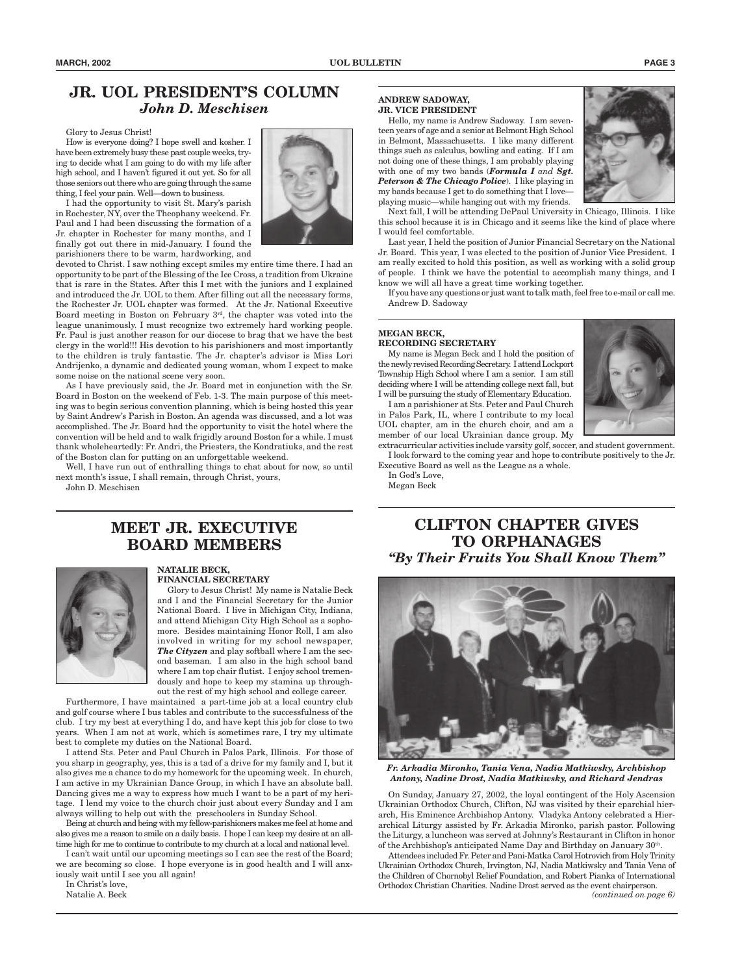## **JR. UOL PRESIDENT'S COLUMN** *John D. Meschisen*

Glory to Jesus Christ!

How is everyone doing? I hope swell and kosher. I have been extremely busy these past couple weeks, trying to decide what I am going to do with my life after high school, and I haven't figured it out yet. So for all those seniors out there who are going through the same thing, I feel your pain. Well—down to business.

I had the opportunity to visit St. Mary's parish in Rochester, NY, over the Theophany weekend. Fr. Paul and I had been discussing the formation of a Jr. chapter in Rochester for many months, and I finally got out there in mid-January. I found the parishioners there to be warm, hardworking, and



devoted to Christ. I saw nothing except smiles my entire time there. I had an opportunity to be part of the Blessing of the Ice Cross, a tradition from Ukraine that is rare in the States. After this I met with the juniors and I explained and introduced the Jr. UOL to them. After filling out all the necessary forms, the Rochester Jr. UOL chapter was formed. At the Jr. National Executive Board meeting in Boston on February 3rd, the chapter was voted into the league unanimously. I must recognize two extremely hard working people. Fr. Paul is just another reason for our diocese to brag that we have the best clergy in the world!!! His devotion to his parishioners and most importantly to the children is truly fantastic. The Jr. chapter's advisor is Miss Lori Andrijenko, a dynamic and dedicated young woman, whom I expect to make some noise on the national scene very soon.

As I have previously said, the Jr. Board met in conjunction with the Sr. Board in Boston on the weekend of Feb. 1-3. The main purpose of this meeting was to begin serious convention planning, which is being hosted this year by Saint Andrew's Parish in Boston. An agenda was discussed, and a lot was accomplished. The Jr. Board had the opportunity to visit the hotel where the convention will be held and to walk frigidly around Boston for a while. I must thank wholeheartedly: Fr. Andri, the Priesters, the Kondratiuks, and the rest of the Boston clan for putting on an unforgettable weekend.

Well, I have run out of enthralling things to chat about for now, so until next month's issue, I shall remain, through Christ, yours,

John D. Meschisen

## **MEET JR. EXECUTIVE BOARD MEMBERS**



#### **NATALIE BECK, FINANCIAL SECRETARY**

Glory to Jesus Christ! My name is Natalie Beck and I and the Financial Secretary for the Junior National Board. I live in Michigan City, Indiana, and attend Michigan City High School as a sophomore. Besides maintaining Honor Roll, I am also involved in writing for my school newspaper, *The Cityzen* and play softball where I am the second baseman. I am also in the high school band where I am top chair flutist. I enjoy school tremendously and hope to keep my stamina up throughout the rest of my high school and college career.

Furthermore, I have maintained a part-time job at a local country club and golf course where I bus tables and contribute to the successfulness of the club. I try my best at everything I do, and have kept this job for close to two years. When I am not at work, which is sometimes rare, I try my ultimate best to complete my duties on the National Board.

I attend Sts. Peter and Paul Church in Palos Park, Illinois. For those of you sharp in geography, yes, this is a tad of a drive for my family and I, but it also gives me a chance to do my homework for the upcoming week. In church, I am active in my Ukrainian Dance Group, in which I have an absolute ball. Dancing gives me a way to express how much I want to be a part of my heritage. I lend my voice to the church choir just about every Sunday and I am always willing to help out with the preschoolers in Sunday School.

Being at church and being with my fellow-parishioners makes me feel at home and also gives me a reason to smile on a daily basis. I hope I can keep my desire at an alltime high for me to continue to contribute to my church at a local and national level.

I can't wait until our upcoming meetings so I can see the rest of the Board; we are becoming so close. I hope everyone is in good health and I will anxiously wait until I see you all again!

In Christ's love,

Natalie A. Beck

### **ANDREW SADOWAY, JR. VICE PRESIDENT**

Hello, my name is Andrew Sadoway. I am seventeen years of age and a senior at Belmont High School in Belmont, Massachusetts. I like many different things such as calculus, bowling and eating. If I am not doing one of these things, I am probably playing with one of my two bands (*Formula I and Sgt. Peterson & The Chicago Police*). I like playing in my bands because I get to do something that I love playing music—while hanging out with my friends.



Next fall, I will be attending DePaul University in Chicago, Illinois. I like this school because it is in Chicago and it seems like the kind of place where I would feel comfortable.

Last year, I held the position of Junior Financial Secretary on the National Jr. Board. This year, I was elected to the position of Junior Vice President. I am really excited to hold this position, as well as working with a solid group of people. I think we have the potential to accomplish many things, and I know we will all have a great time working together.

If you have any questions or just want to talk math, feel free to e-mail or call me. Andrew D. Sadoway

#### **MEGAN BECK, RECORDING SECRETARY**

My name is Megan Beck and I hold the position of the newly revised Recording Secretary. I attend Lockport Township High School where I am a senior. I am still deciding where I will be attending college next fall, but I will be pursuing the study of Elementary Education.

I am a parishioner at Sts. Peter and Paul Church in Palos Park, IL, where I contribute to my local UOL chapter, am in the church choir, and am a member of our local Ukrainian dance group. My

extracurricular activities include varsity golf, soccer, and student government. I look forward to the coming year and hope to contribute positively to the Jr. Executive Board as well as the League as a whole.

In God's Love, Megan Beck

# **CLIFTON CHAPTER GIVES TO ORPHANAGES** *"By Their Fruits You Shall Know Them"*



*Fr. Arkadia Mironko, Tania Vena, Nadia Matkiwsky, Archbishop Antony, Nadine Drost, Nadia Matkiwsky, and Richard Jendras*

On Sunday, January 27, 2002, the loyal contingent of the Holy Ascension Ukrainian Orthodox Church, Clifton, NJ was visited by their eparchial hierarch, His Eminence Archbishop Antony. Vladyka Antony celebrated a Hierarchical Liturgy assisted by Fr. Arkadia Mironko, parish pastor. Following the Liturgy, a luncheon was served at Johnny's Restaurant in Clifton in honor of the Archbishop's anticipated Name Day and Birthday on January 30<sup>th</sup>.

Attendees included Fr. Peter and Pani-Matka Carol Hotrovich from Holy Trinity Ukrainian Orthodox Church, Irvington, NJ, Nadia Matkiwsky and Tania Vena of the Children of Chornobyl Relief Foundation, and Robert Pianka of International Orthodox Christian Charities. Nadine Drost served as the event chairperson.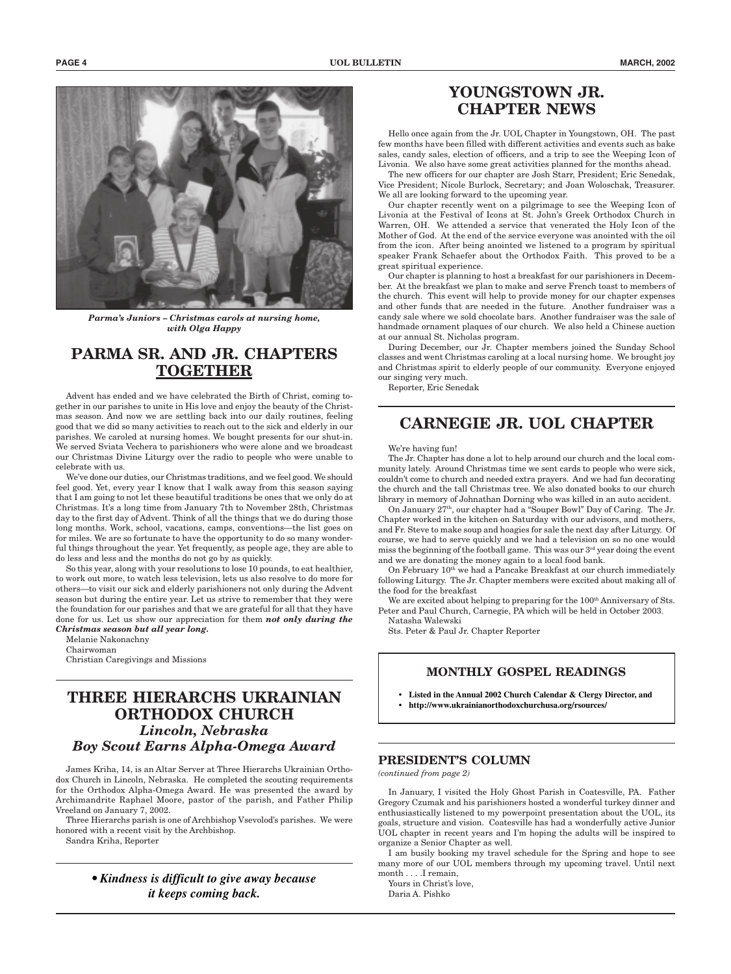

*Parma's Juniors – Christmas carols at nursing home, with Olga Happy*

# **PARMA SR. AND JR. CHAPTERS TOGETHER**

Advent has ended and we have celebrated the Birth of Christ, coming together in our parishes to unite in His love and enjoy the beauty of the Christmas season. And now we are settling back into our daily routines, feeling good that we did so many activities to reach out to the sick and elderly in our parishes. We caroled at nursing homes. We bought presents for our shut-in. We served Sviata Vechera to parishioners who were alone and we broadcast our Christmas Divine Liturgy over the radio to people who were unable to celebrate with us.

We've done our duties, our Christmas traditions, and we feel good. We should feel good. Yet, every year I know that I walk away from this season saying that I am going to not let these beautiful traditions be ones that we only do at Christmas. It's a long time from January 7th to November 28th, Christmas day to the first day of Advent. Think of all the things that we do during those long months. Work, school, vacations, camps, conventions—the list goes on for miles. We are so fortunate to have the opportunity to do so many wonderful things throughout the year. Yet frequently, as people age, they are able to do less and less and the months do not go by as quickly.

So this year, along with your resolutions to lose 10 pounds, to eat healthier, to work out more, to watch less television, lets us also resolve to do more for others—to visit our sick and elderly parishioners not only during the Advent season but during the entire year. Let us strive to remember that they were the foundation for our parishes and that we are grateful for all that they have done for us. Let us show our appreciation for them *not only during the Christmas season but all year long.*

Melanie Nakonachny Chairwoman Christian Caregivings and Missions

## **THREE HIERARCHS UKRAINIAN ORTHODOX CHURCH** *Lincoln, Nebraska Boy Scout Earns Alpha-Omega Award*

James Kriha, 14, is an Altar Server at Three Hierarchs Ukrainian Orthodox Church in Lincoln, Nebraska. He completed the scouting requirements for the Orthodox Alpha-Omega Award. He was presented the award by Archimandrite Raphael Moore, pastor of the parish, and Father Philip Vreeland on January 7, 2002.

Three Hierarchs parish is one of Archbishop Vsevolod's parishes. We were honored with a recent visit by the Archbishop.

Sandra Kriha, Reporter

*• Kindness is difficult to give away because it keeps coming back.*

### **YOUNGSTOWN JR. CHAPTER NEWS**

Hello once again from the Jr. UOL Chapter in Youngstown, OH. The past few months have been filled with different activities and events such as bake sales, candy sales, election of officers, and a trip to see the Weeping Icon of Livonia. We also have some great activities planned for the months ahead.

The new officers for our chapter are Josh Starr, President; Eric Senedak, Vice President; Nicole Burlock, Secretary; and Joan Woloschak, Treasurer. We all are looking forward to the upcoming year.

Our chapter recently went on a pilgrimage to see the Weeping Icon of Livonia at the Festival of Icons at St. John's Greek Orthodox Church in Warren, OH. We attended a service that venerated the Holy Icon of the Mother of God. At the end of the service everyone was anointed with the oil from the icon. After being anointed we listened to a program by spiritual speaker Frank Schaefer about the Orthodox Faith. This proved to be a great spiritual experience.

Our chapter is planning to host a breakfast for our parishioners in December. At the breakfast we plan to make and serve French toast to members of the church. This event will help to provide money for our chapter expenses and other funds that are needed in the future. Another fundraiser was a candy sale where we sold chocolate bars. Another fundraiser was the sale of handmade ornament plaques of our church. We also held a Chinese auction at our annual St. Nicholas program.

During December, our Jr. Chapter members joined the Sunday School classes and went Christmas caroling at a local nursing home. We brought joy and Christmas spirit to elderly people of our community. Everyone enjoyed our singing very much.

Reporter, Eric Senedak

# **CARNEGIE JR. UOL CHAPTER**

#### We're having fun!

The Jr. Chapter has done a lot to help around our church and the local community lately. Around Christmas time we sent cards to people who were sick, couldn't come to church and needed extra prayers. And we had fun decorating the church and the tall Christmas tree. We also donated books to our church library in memory of Johnathan Dorning who was killed in an auto accident.

On January 27th, our chapter had a "Souper Bowl" Day of Caring. The Jr. Chapter worked in the kitchen on Saturday with our advisors, and mothers, and Fr. Steve to make soup and hoagies for sale the next day after Liturgy. Of course, we had to serve quickly and we had a television on so no one would miss the beginning of the football game. This was our  $3<sup>rd</sup>$  year doing the event and we are donating the money again to a local food bank.

On February 10<sup>th</sup> we had a Pancake Breakfast at our church immediately following Liturgy. The Jr. Chapter members were excited about making all of the food for the breakfast

We are excited about helping to preparing for the 100<sup>th</sup> Anniversary of Sts. Peter and Paul Church, Carnegie, PA which will be held in October 2003.

Natasha Walewski Sts. Peter & Paul Jr. Chapter Reporter

### **MONTHLY GOSPEL READINGS**

- **Listed in the Annual 2002 Church Calendar & Clergy Director, and**
- **http://www.ukrainianorthodoxchurchusa.org/rsources/**

### **PRESIDENT'S COLUMN**

*(continued from page 2)*

In January, I visited the Holy Ghost Parish in Coatesville, PA. Father Gregory Czumak and his parishioners hosted a wonderful turkey dinner and enthusiastically listened to my powerpoint presentation about the UOL, its goals, structure and vision. Coatesville has had a wonderfully active Junior UOL chapter in recent years and I'm hoping the adults will be inspired to organize a Senior Chapter as well.

I am busily booking my travel schedule for the Spring and hope to see many more of our UOL members through my upcoming travel. Until next month . . . .I remain,

Yours in Christ's love,

Daria A. Pishko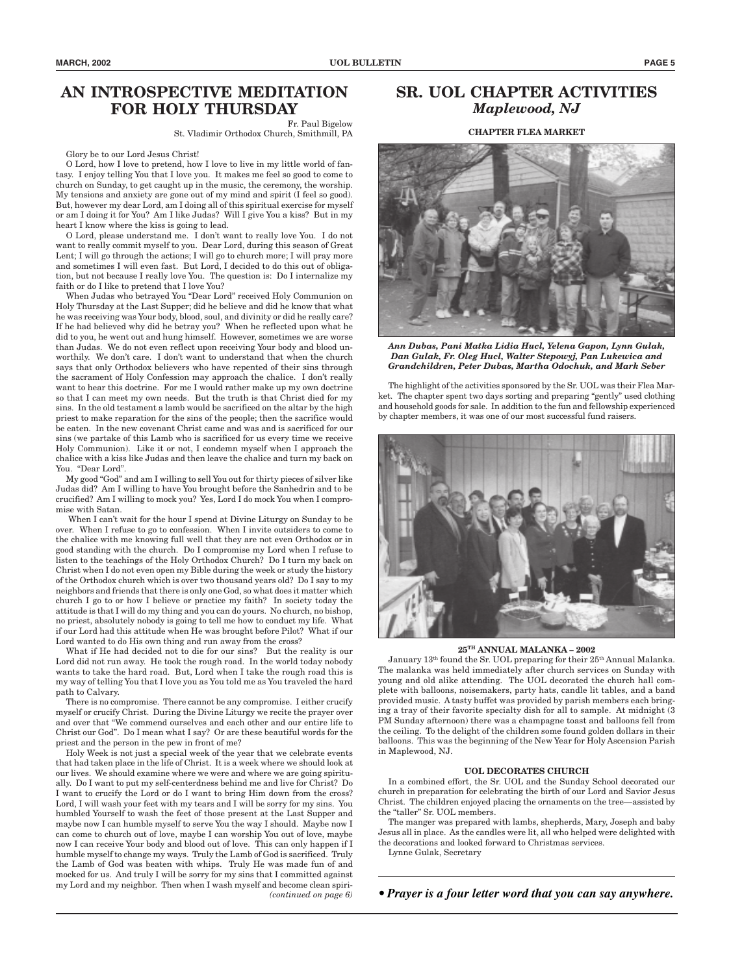# **AN INTROSPECTIVE MEDITATION FOR HOLY THURSDAY**

Fr. Paul Bigelow

St. Vladimir Orthodox Church, Smithmill, PA

Glory be to our Lord Jesus Christ!

O Lord, how I love to pretend, how I love to live in my little world of fantasy. I enjoy telling You that I love you. It makes me feel so good to come to church on Sunday, to get caught up in the music, the ceremony, the worship. My tensions and anxiety are gone out of my mind and spirit (I feel so good). But, however my dear Lord, am I doing all of this spiritual exercise for myself or am I doing it for You? Am I like Judas? Will I give You a kiss? But in my heart I know where the kiss is going to lead.

O Lord, please understand me. I don't want to really love You. I do not want to really commit myself to you. Dear Lord, during this season of Great Lent; I will go through the actions; I will go to church more; I will pray more and sometimes I will even fast. But Lord, I decided to do this out of obligation, but not because I really love You. The question is: Do I internalize my faith or do I like to pretend that I love You?

When Judas who betrayed You "Dear Lord" received Holy Communion on Holy Thursday at the Last Supper; did he believe and did he know that what he was receiving was Your body, blood, soul, and divinity or did he really care? If he had believed why did he betray you? When he reflected upon what he did to you, he went out and hung himself. However, sometimes we are worse than Judas. We do not even reflect upon receiving Your body and blood unworthily. We don't care. I don't want to understand that when the church says that only Orthodox believers who have repented of their sins through the sacrament of Holy Confession may approach the chalice. I don't really want to hear this doctrine. For me I would rather make up my own doctrine so that I can meet my own needs. But the truth is that Christ died for my sins. In the old testament a lamb would be sacrificed on the altar by the high priest to make reparation for the sins of the people; then the sacrifice would be eaten. In the new covenant Christ came and was and is sacrificed for our sins (we partake of this Lamb who is sacrificed for us every time we receive Holy Communion). Like it or not, I condemn myself when I approach the chalice with a kiss like Judas and then leave the chalice and turn my back on You. "Dear Lord".

My good "God" and am I willing to sell You out for thirty pieces of silver like Judas did? Am I willing to have You brought before the Sanhedrin and to be crucified? Am I willing to mock you? Yes, Lord I do mock You when I compromise with Satan.

 When I can't wait for the hour I spend at Divine Liturgy on Sunday to be over. When I refuse to go to confession. When I invite outsiders to come to the chalice with me knowing full well that they are not even Orthodox or in good standing with the church. Do I compromise my Lord when I refuse to listen to the teachings of the Holy Orthodox Church? Do I turn my back on Christ when I do not even open my Bible during the week or study the history of the Orthodox church which is over two thousand years old? Do I say to my neighbors and friends that there is only one God, so what does it matter which church I go to or how I believe or practice my faith? In society today the attitude is that I will do my thing and you can do yours. No church, no bishop, no priest, absolutely nobody is going to tell me how to conduct my life. What if our Lord had this attitude when He was brought before Pilot? What if our Lord wanted to do His own thing and run away from the cross?

What if He had decided not to die for our sins? But the reality is our Lord did not run away. He took the rough road. In the world today nobody wants to take the hard road. But, Lord when I take the rough road this is my way of telling You that I love you as You told me as You traveled the hard path to Calvary.

There is no compromise. There cannot be any compromise. I either crucify myself or crucify Christ. During the Divine Liturgy we recite the prayer over and over that "We commend ourselves and each other and our entire life to Christ our God". Do I mean what I say? Or are these beautiful words for the priest and the person in the pew in front of me?

Holy Week is not just a special week of the year that we celebrate events that had taken place in the life of Christ. It is a week where we should look at our lives. We should examine where we were and where we are going spiritually. Do I want to put my self-centerdness behind me and live for Christ? Do I want to crucify the Lord or do I want to bring Him down from the cross? Lord, I will wash your feet with my tears and I will be sorry for my sins. You humbled Yourself to wash the feet of those present at the Last Supper and maybe now I can humble myself to serve You the way I should. Maybe now I can come to church out of love, maybe I can worship You out of love, maybe now I can receive Your body and blood out of love. This can only happen if I humble myself to change my ways. Truly the Lamb of God is sacrificed. Truly the Lamb of God was beaten with whips. Truly He was made fun of and mocked for us. And truly I will be sorry for my sins that I committed against my Lord and my neighbor. Then when I wash myself and become clean spiri- *(continued on page 6)*

## **SR. UOL CHAPTER ACTIVITIES** *Maplewood, NJ*

**CHAPTER FLEA MARKET**



*Ann Dubas, Pani Matka Lidia Hucl, Yelena Gapon, Lynn Gulak, Dan Gulak, Fr. Oleg Hucl, Walter Stepowyj, Pan Lukewica and Grandchildren, Peter Dubas, Martha Odochuk, and Mark Seber*

The highlight of the activities sponsored by the Sr. UOL was their Flea Market. The chapter spent two days sorting and preparing "gently" used clothing and household goods for sale. In addition to the fun and fellowship experienced by chapter members, it was one of our most successful fund raisers.



#### **25TH ANNUAL MALANKA – 2002**

January 13<sup>th</sup> found the Sr. UOL preparing for their 25<sup>th</sup> Annual Malanka. The malanka was held immediately after church services on Sunday with young and old alike attending. The UOL decorated the church hall complete with balloons, noisemakers, party hats, candle lit tables, and a band provided music. A tasty buffet was provided by parish members each bringing a tray of their favorite specialty dish for all to sample. At midnight (3 PM Sunday afternoon) there was a champagne toast and balloons fell from the ceiling. To the delight of the children some found golden dollars in their balloons. This was the beginning of the New Year for Holy Ascension Parish in Maplewood, NJ.

#### **UOL DECORATES CHURCH**

In a combined effort, the Sr. UOL and the Sunday School decorated our church in preparation for celebrating the birth of our Lord and Savior Jesus Christ. The children enjoyed placing the ornaments on the tree—assisted by the "taller" Sr. UOL members.

The manger was prepared with lambs, shepherds, Mary, Joseph and baby Jesus all in place. As the candles were lit, all who helped were delighted with the decorations and looked forward to Christmas services.

Lynne Gulak, Secretary

*• Prayer is a four letter word that you can say anywhere.*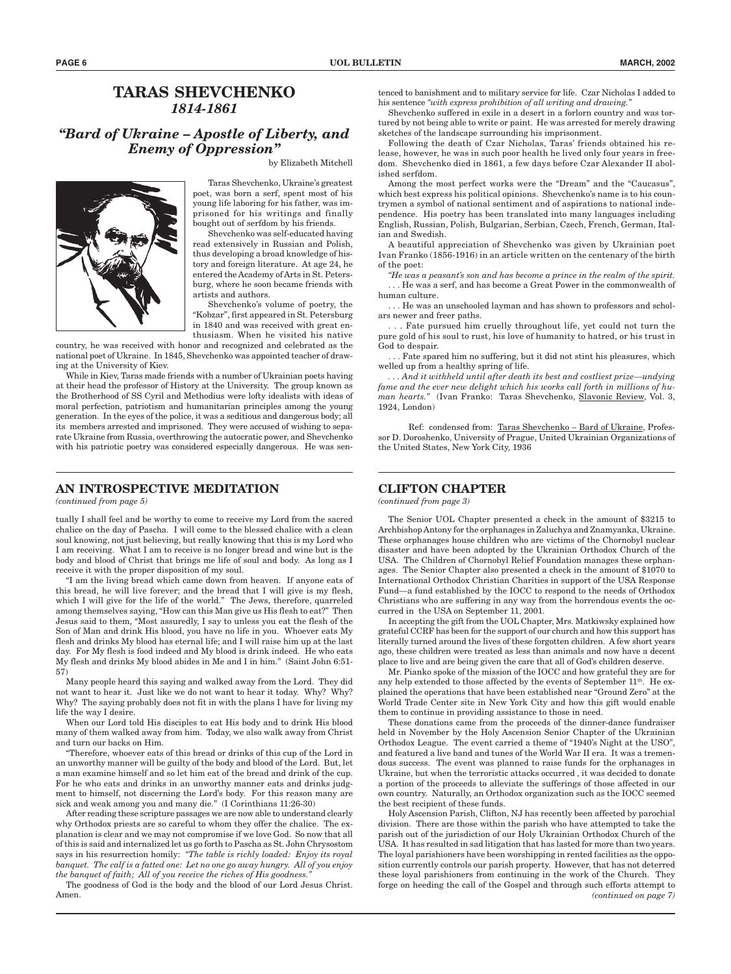### **TARAS SHEVCHENKO** *1814-1861*

### *"Bard of Ukraine – Apostle of Liberty, and Enemy of Oppression"*

by Elizabeth Mitchell



Taras Shevchenko, Ukraine's greatest poet, was born a serf, spent most of his young life laboring for his father, was imprisoned for his writings and finally bought out of serfdom by his friends.

Shevchenko was self-educated having read extensively in Russian and Polish, thus developing a broad knowledge of history and foreign literature. At age 24, he entered the Academy of Arts in St. Petersburg, where he soon became friends with artists and authors.

Shevchenko's volume of poetry, the "Kobzar", first appeared in St. Petersburg in 1840 and was received with great enthusiasm. When he visited his native

country, he was received with honor and recognized and celebrated as the national poet of Ukraine. In 1845, Shevchenko was appointed teacher of drawing at the University of Kiev.

While in Kiev, Taras made friends with a number of Ukrainian poets having at their head the professor of History at the University. The group known as the Brotherhood of SS Cyril and Methodius were lofty idealists with ideas of moral perfection, patriotism and humanitarian principles among the young generation. In the eyes of the police, it was a seditious and dangerous body; all its members arrested and imprisoned. They were accused of wishing to separate Ukraine from Russia, overthrowing the autocratic power, and Shevchenko with his patriotic poetry was considered especially dangerous. He was sen-

### **AN INTROSPECTIVE MEDITATION**

*(continued from page 5)*

tually I shall feel and be worthy to come to receive my Lord from the sacred chalice on the day of Pascha. I will come to the blessed chalice with a clean soul knowing, not just believing, but really knowing that this is my Lord who I am receiving. What I am to receive is no longer bread and wine but is the body and blood of Christ that brings me life of soul and body. As long as I receive it with the proper disposition of my soul.

"I am the living bread which came down from heaven. If anyone eats of this bread, he will live forever; and the bread that I will give is my flesh, which I will give for the life of the world." The Jews, therefore, quarreled among themselves saying, "How can this Man give us His flesh to eat?" Then Jesus said to them, "Most assuredly, I say to unless you eat the flesh of the Son of Man and drink His blood, you have no life in you. Whoever eats My flesh and drinks My blood has eternal life; and I will raise him up at the last day. For My flesh is food indeed and My blood is drink indeed. He who eats My flesh and drinks My blood abides in Me and I in him." (Saint John 6:51- 57)

Many people heard this saying and walked away from the Lord. They did not want to hear it. Just like we do not want to hear it today. Why? Why? Why? The saying probably does not fit in with the plans I have for living my life the way I desire.

When our Lord told His disciples to eat His body and to drink His blood many of them walked away from him. Today, we also walk away from Christ and turn our backs on Him.

"Therefore, whoever eats of this bread or drinks of this cup of the Lord in an unworthy manner will be guilty of the body and blood of the Lord. But, let a man examine himself and so let him eat of the bread and drink of the cup. For he who eats and drinks in an unworthy manner eats and drinks judgment to himself, not discerning the Lord's body. For this reason many are sick and weak among you and many die." (I Corinthians 11:26-30)

After reading these scripture passages we are now able to understand clearly why Orthodox priests are so careful to whom they offer the chalice. The explanation is clear and we may not compromise if we love God. So now that all of this is said and internalized let us go forth to Pascha as St. John Chrysostom says in his resurrection homily: *"The table is richly loaded: Enjoy its royal banquet. The calf is a fatted one: Let no one go away hungry. All of you enjoy the banquet of faith; All of you receive the riches of His goodness."*

The goodness of God is the body and the blood of our Lord Jesus Christ. Amen.

tenced to banishment and to military service for life. Czar Nicholas I added to his sentence *"with express prohibition of all writing and drawing."*

Shevchenko suffered in exile in a desert in a forlorn country and was tortured by not being able to write or paint. He was arrested for merely drawing sketches of the landscape surrounding his imprisonment.

Following the death of Czar Nicholas, Taras' friends obtained his release, however, he was in such poor health he lived only four years in freedom. Shevchenko died in 1861, a few days before Czar Alexander II abolished serfdom.

Among the most perfect works were the "Dream" and the "Caucasus", which best express his political opinions. Shevchenko's name is to his countrymen a symbol of national sentiment and of aspirations to national independence. His poetry has been translated into many languages including English, Russian, Polish, Bulgarian, Serbian, Czech, French, German, Italian and Swedish.

A beautiful appreciation of Shevchenko was given by Ukrainian poet Ivan Franko (1856-1916) in an article written on the centenary of the birth of the poet:

*"He was a peasant's son and has become a prince in the realm of the spirit.* . . . He was a serf, and has become a Great Power in the commonwealth of human culture.

. . . He was an unschooled layman and has shown to professors and scholars newer and freer paths.

. . . Fate pursued him cruelly throughout life, yet could not turn the pure gold of his soul to rust, his love of humanity to hatred, or his trust in God to despair.

. . . Fate spared him no suffering, but it did not stint his pleasures, which welled up from a healthy spring of life.

*. . . And it withheld until after death its best and costliest prize—undying fame and the ever new delight which his works call forth in millions of human hearts."* (Ivan Franko: Taras Shevchenko, Slavonic Review, Vol. 3, 1924, London)

Ref: condensed from: Taras Shevchenko – Bard of Ukraine, Professor D. Doroshenko, University of Prague, United Ukrainian Organizations of the United States, New York City, 1936

### **CLIFTON CHAPTER**

*(continued from page 3)*

The Senior UOL Chapter presented a check in the amount of \$3215 to Archbishop Antony for the orphanages in Zaluchya and Znamyanka, Ukraine. These orphanages house children who are victims of the Chornobyl nuclear disaster and have been adopted by the Ukrainian Orthodox Church of the USA. The Children of Chornobyl Relief Foundation manages these orphanages. The Senior Chapter also presented a check in the amount of \$1070 to International Orthodox Christian Charities in support of the USA Response Fund—a fund established by the IOCC to respond to the needs of Orthodox Christians who are suffering in any way from the horrendous events the occurred in the USA on September 11, 2001.

In accepting the gift from the UOL Chapter, Mrs. Matkiwsky explained how grateful CCRF has been for the support of our church and how this support has literally turned around the lives of these forgotten children. A few short years ago, these children were treated as less than animals and now have a decent place to live and are being given the care that all of God's children deserve.

Mr. Pianko spoke of the mission of the IOCC and how grateful they are for any help extended to those affected by the events of September  $11<sup>th</sup>$ . He explained the operations that have been established near "Ground Zero" at the World Trade Center site in New York City and how this gift would enable them to continue in providing assistance to those in need.

These donations came from the proceeds of the dinner-dance fundraiser held in November by the Holy Ascension Senior Chapter of the Ukrainian Orthodox League. The event carried a theme of "1940's Night at the USO", and featured a live band and tunes of the World War II era. It was a tremendous success. The event was planned to raise funds for the orphanages in Ukraine, but when the terroristic attacks occurred , it was decided to donate a portion of the proceeds to alleviate the sufferings of those affected in our own country. Naturally, an Orthodox organization such as the IOCC seemed the best recipient of these funds.

Holy Ascension Parish, Clifton, NJ has recently been affected by parochial division. There are those within the parish who have attempted to take the parish out of the jurisdiction of our Holy Ukrainian Orthodox Church of the USA. It has resulted in sad litigation that has lasted for more than two years. The loyal parishioners have been worshipping in rented facilities as the opposition currently controls our parish property. However, that has not deterred these loyal parishioners from continuing in the work of the Church. They forge on heeding the call of the Gospel and through such efforts attempt to *(continued on page 7)*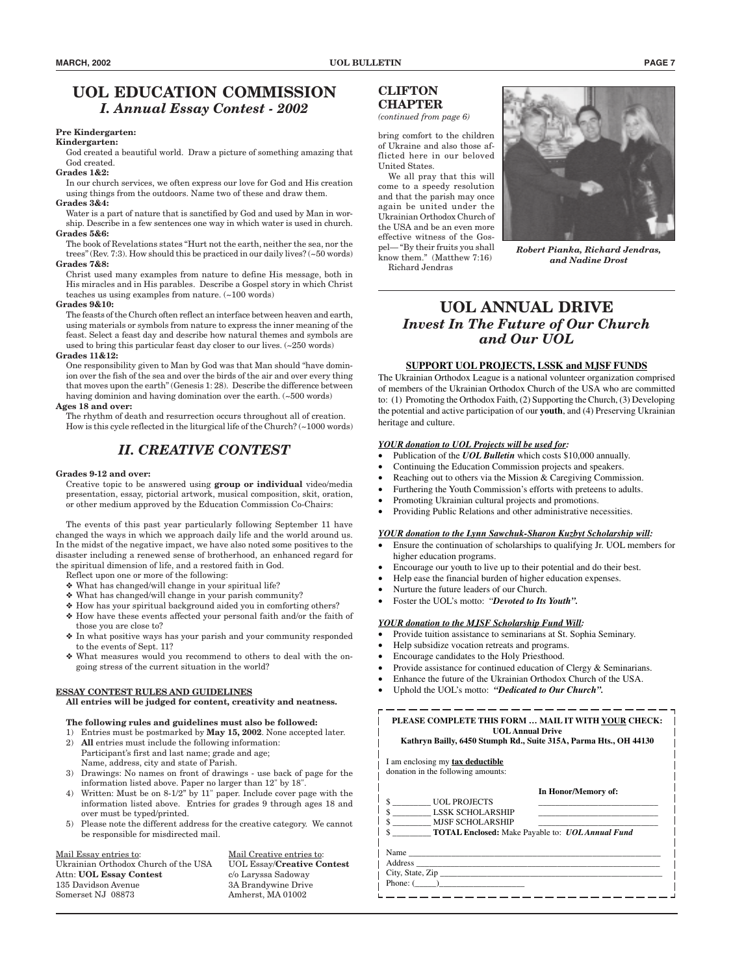### **UOL EDUCATION COMMISSION** *I. Annual Essay Contest - 2002*

### **Pre Kindergarten:**

### **Kindergarten:**

God created a beautiful world. Draw a picture of something amazing that God created.

#### **Grades 1&2:**

In our church services, we often express our love for God and His creation using things from the outdoors. Name two of these and draw them.

### **Grades 3&4:**

Water is a part of nature that is sanctified by God and used by Man in worship. Describe in a few sentences one way in which water is used in church. **Grades 5&6:**

The book of Revelations states "Hurt not the earth, neither the sea, nor the trees" (Rev. 7:3). How should this be practiced in our daily lives? (~50 words) **Grades 7&8:**

Christ used many examples from nature to define His message, both in His miracles and in His parables. Describe a Gospel story in which Christ teaches us using examples from nature. (~100 words)

#### **Grades 9&10:**

The feasts of the Church often reflect an interface between heaven and earth, using materials or symbols from nature to express the inner meaning of the feast. Select a feast day and describe how natural themes and symbols are used to bring this particular feast day closer to our lives. (~250 words)

#### **Grades 11&12:**

One responsibility given to Man by God was that Man should "have dominion over the fish of the sea and over the birds of the air and over every thing that moves upon the earth" (Genesis 1: 28). Describe the difference between having dominion and having domination over the earth.  $(-500 \text{ words})$ 

#### **Ages 18 and over:**

The rhythm of death and resurrection occurs throughout all of creation. How is this cycle reflected in the liturgical life of the Church? (~1000 words)

### *II. CREATIVE CONTEST*

#### **Grades 9-12 and over:**

Creative topic to be answered using **group or individual** video/media presentation, essay, pictorial artwork, musical composition, skit, oration, or other medium approved by the Education Commission Co-Chairs:

The events of this past year particularly following September 11 have changed the ways in which we approach daily life and the world around us. In the midst of the negative impact, we have also noted some positives to the disaster including a renewed sense of brotherhood, an enhanced regard for the spiritual dimension of life, and a restored faith in God.

- Reflect upon one or more of the following:
- ❖ What has changed/will change in your spiritual life?
- ❖ What has changed/will change in your parish community?
- ❖ How has your spiritual background aided you in comforting others?
- ❖ How have these events affected your personal faith and/or the faith of those you are close to?
- ❖ In what positive ways has your parish and your community responded to the events of Sept. 11?
- ❖ What measures would you recommend to others to deal with the ongoing stress of the current situation in the world?

#### **ESSAY CONTEST RULES AND GUIDELINES**

**All entries will be judged for content, creativity and neatness.**

### **The following rules and guidelines must also be followed:**

- 1) Entries must be postmarked by **May 15, 2002**. None accepted later.
- 2) **All** entries must include the following information: Participant's first and last name; grade and age; Name, address, city and state of Parish.
- 3) Drawings: No names on front of drawings use back of page for the information listed above. Paper no larger than 12" by 18".
- Written: Must be on 8-1/2" by 11" paper. Include cover page with the information listed above. Entries for grades 9 through ages 18 and over must be typed/printed.
- 5) Please note the different address for the creative category. We cannot be responsible for misdirected mail.

Ukrainian Orthodox Church of the USA UOL Essay/**Creative Contest** Attn: **UOL Essay Contest** c/o Laryssa Sadoway 135 Davidson Avenue 3A Brandywine Drive Somerset NJ 08873 Amherst, MA 01002

Mail Essay entries to: Mail Creative entries to:

### **CLIFTON CHAPTER** *(continued from page 6)*

bring comfort to the children of Ukraine and also those afflicted here in our beloved United States.

We all pray that this will come to a speedy resolution and that the parish may once again be united under the Ukrainian Orthodox Church of the USA and be an even more effective witness of the Gospel— "By their fruits you shall know them." (Matthew 7:16) Richard Jendras



*Robert Pianka, Richard Jendras, and Nadine Drost*

**UOL ANNUAL DRIVE** *Invest In The Future of Our Church and Our UOL*

#### **SUPPORT UOL PROJECTS, LSSK and MJSF FUNDS**

The Ukrainian Orthodox League is a national volunteer organization comprised of members of the Ukrainian Orthodox Church of the USA who are committed to: (1) Promoting the Orthodox Faith, (2) Supporting the Church, (3) Developing the potential and active participation of our **youth**, and (4) Preserving Ukrainian heritage and culture.

### *YOUR donation to UOL Projects will be used for:*

- Publication of the *UOL Bulletin* which costs \$10,000 annually.
- Continuing the Education Commission projects and speakers.
- Reaching out to others via the Mission & Caregiving Commission.
- Furthering the Youth Commission's efforts with preteens to adults.
- Promoting Ukrainian cultural projects and promotions.
- Providing Public Relations and other administrative necessities.

#### *YOUR donation to the Lynn Sawchuk-Sharon Kuzbyt Scholarship will:*

- Ensure the continuation of scholarships to qualifying Jr. UOL members for higher education programs.
- Encourage our youth to live up to their potential and do their best.
- Help ease the financial burden of higher education expenses.
- Nurture the future leaders of our Church.
- Foster the UOL's motto: "*Devoted to Its Youth".*

#### *YOUR donation to the MJSF Scholarship Fund Will:*

- Provide tuition assistance to seminarians at St. Sophia Seminary.
- Help subsidize vocation retreats and programs.
- Encourage candidates to the Holy Priesthood.
- Provide assistance for continued education of Clergy & Seminarians.
- Enhance the future of the Ukrainian Orthodox Church of the USA.
- Uphold the UOL's motto: *"Dedicated to Our Church".*

| PLEASE COMPLETE THIS FORM  MAIL IT WITH YOUR CHECK:<br><b>UOL Annual Drive</b><br>Kathryn Bailly, 6450 Stumph Rd., Suite 315A, Parma Hts., OH 44130 |  |  |  |  |
|-----------------------------------------------------------------------------------------------------------------------------------------------------|--|--|--|--|
|                                                                                                                                                     |  |  |  |  |
| In Honor/Memory of:                                                                                                                                 |  |  |  |  |
| <b>UOL PROJECTS</b>                                                                                                                                 |  |  |  |  |
| LSSK SCHOLARSHIP                                                                                                                                    |  |  |  |  |
| MJSF SCHOLARSHIP                                                                                                                                    |  |  |  |  |
| <b>TOTAL Enclosed:</b> Make Payable to: <b><i>UOL Annual Fund</i></b>                                                                               |  |  |  |  |
| Name                                                                                                                                                |  |  |  |  |
| Address                                                                                                                                             |  |  |  |  |
|                                                                                                                                                     |  |  |  |  |
| Phone: $($                                                                                                                                          |  |  |  |  |